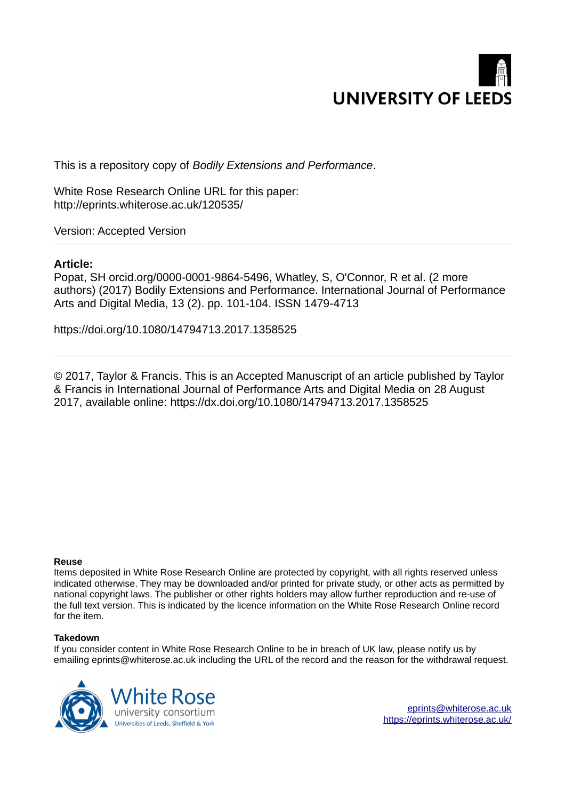

This is a repository copy of *Bodily Extensions and Performance*.

White Rose Research Online URL for this paper: http://eprints.whiterose.ac.uk/120535/

Version: Accepted Version

## **Article:**

Popat, SH orcid.org/0000-0001-9864-5496, Whatley, S, O'Connor, R et al. (2 more authors) (2017) Bodily Extensions and Performance. International Journal of Performance Arts and Digital Media, 13 (2). pp. 101-104. ISSN 1479-4713

https://doi.org/10.1080/14794713.2017.1358525

© 2017, Taylor & Francis. This is an Accepted Manuscript of an article published by Taylor & Francis in International Journal of Performance Arts and Digital Media on 28 August 2017, available online: https://dx.doi.org/10.1080/14794713.2017.1358525

## **Reuse**

Items deposited in White Rose Research Online are protected by copyright, with all rights reserved unless indicated otherwise. They may be downloaded and/or printed for private study, or other acts as permitted by national copyright laws. The publisher or other rights holders may allow further reproduction and re-use of the full text version. This is indicated by the licence information on the White Rose Research Online record for the item.

## **Takedown**

If you consider content in White Rose Research Online to be in breach of UK law, please notify us by emailing eprints@whiterose.ac.uk including the URL of the record and the reason for the withdrawal request.



[eprints@whiterose.ac.uk](mailto:eprints@whiterose.ac.uk) <https://eprints.whiterose.ac.uk/>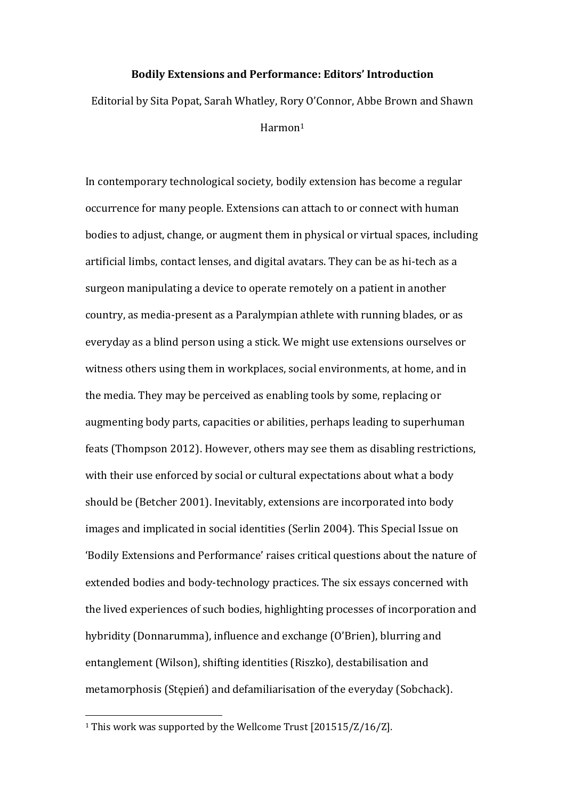## **Bodily Extensions and Performance: Editors' Introduction**

Editorial by Sita Popat, Sarah Whatley, Rory O'Connor, Abbe Brown and Shawn Harmon<sup>1</sup>

In contemporary technological society, bodily extension has become a regular occurrence for many people. Extensions can attach to or connect with human bodies to adjust, change, or augment them in physical or virtual spaces, including artificial limbs, contact lenses, and digital avatars. They can be as hi-tech as a surgeon manipulating a device to operate remotely on a patient in another country, as media-present as a Paralympian athlete with running blades, or as everyday as a blind person using a stick. We might use extensions ourselves or witness others using them in workplaces, social environments, at home, and in the media. They may be perceived as enabling tools by some, replacing or augmenting body parts, capacities or abilities, perhaps leading to superhuman feats (Thompson 2012). However, others may see them as disabling restrictions, with their use enforced by social or cultural expectations about what a body should be (Betcher 2001). Inevitably, extensions are incorporated into body images and implicated in social identities (Serlin 2004). This Special Issue on 'Bodily Extensions and Performance' raises critical questions about the nature of extended bodies and body-technology practices. The six essays concerned with the lived experiences of such bodies, highlighting processes of incorporation and hybridity (Donnarumma), influence and exchange (O'Brien), blurring and entanglement (Wilson), shifting identities (Riszko), destabilisation and metamorphosis (Stępień) and defamiliarisation of the everyday (Sobchack).

 $\overline{a}$ 

<sup>1</sup> This work was supported by the Wellcome Trust [201515/Z/16/Z].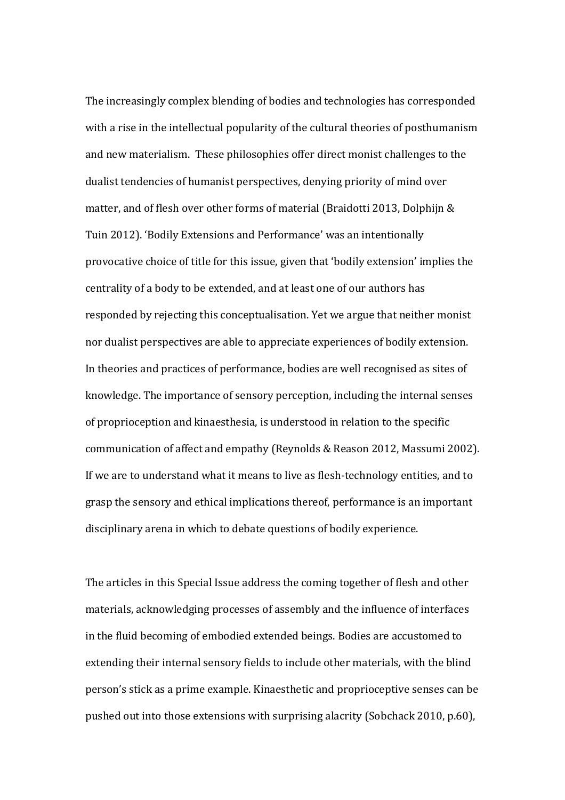The increasingly complex blending of bodies and technologies has corresponded with a rise in the intellectual popularity of the cultural theories of posthumanism and new materialism. These philosophies offer direct monist challenges to the dualist tendencies of humanist perspectives, denying priority of mind over matter, and of flesh over other forms of material (Braidotti 2013, Dolphijn & Tuin 2012). 'Bodily Extensions and Performance' was an intentionally provocative choice of title for this issue, given that 'bodily extension' implies the centrality of a body to be extended, and at least one of our authors has responded by rejecting this conceptualisation. Yet we argue that neither monist nor dualist perspectives are able to appreciate experiences of bodily extension. In theories and practices of performance, bodies are well recognised as sites of knowledge. The importance of sensory perception, including the internal senses of proprioception and kinaesthesia, is understood in relation to the specific communication of affect and empathy (Reynolds & Reason 2012, Massumi 2002). If we are to understand what it means to live as flesh-technology entities, and to grasp the sensory and ethical implications thereof, performance is an important disciplinary arena in which to debate questions of bodily experience.

The articles in this Special Issue address the coming together of flesh and other materials, acknowledging processes of assembly and the influence of interfaces in the fluid becoming of embodied extended beings. Bodies are accustomed to extending their internal sensory fields to include other materials, with the blind person's stick as a prime example. Kinaesthetic and proprioceptive senses can be pushed out into those extensions with surprising alacrity (Sobchack 2010, p.60),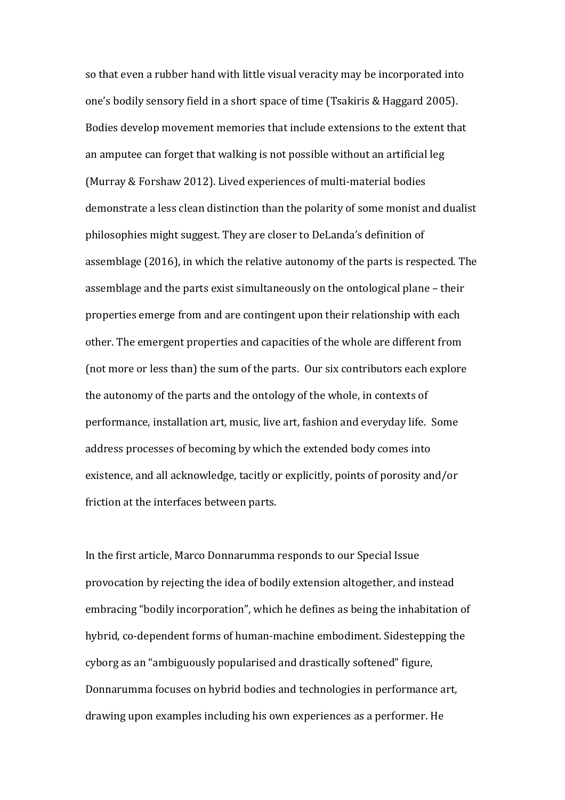so that even a rubber hand with little visual veracity may be incorporated into one's bodily sensory field in a short space of time (Tsakiris & Haggard 2005). Bodies develop movement memories that include extensions to the extent that an amputee can forget that walking is not possible without an artificial leg (Murray & Forshaw 2012). Lived experiences of multi-material bodies demonstrate a less clean distinction than the polarity of some monist and dualist philosophies might suggest. They are closer to DeLanda's definition of assemblage (2016), in which the relative autonomy of the parts is respected. The assemblage and the parts exist simultaneously on the ontological plane – their properties emerge from and are contingent upon their relationship with each other. The emergent properties and capacities of the whole are different from (not more or less than) the sum of the parts. Our six contributors each explore the autonomy of the parts and the ontology of the whole, in contexts of performance, installation art, music, live art, fashion and everyday life. Some address processes of becoming by which the extended body comes into existence, and all acknowledge, tacitly or explicitly, points of porosity and/or friction at the interfaces between parts.

In the first article, Marco Donnarumma responds to our Special Issue provocation by rejecting the idea of bodily extension altogether, and instead embracing "bodily incorporation", which he defines as being the inhabitation of hybrid, co-dependent forms of human-machine embodiment. Sidestepping the cyborg as an "ambiguously popularised and drastically softened" figure, Donnarumma focuses on hybrid bodies and technologies in performance art, drawing upon examples including his own experiences as a performer. He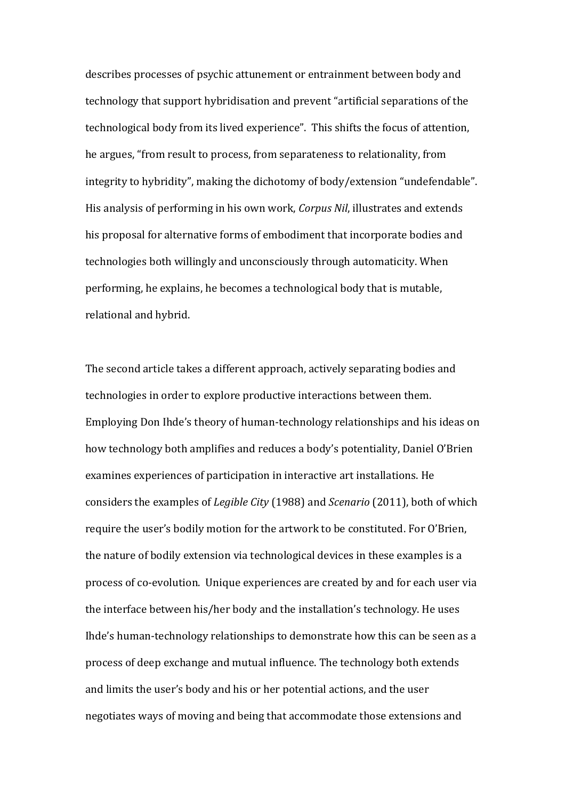describes processes of psychic attunement or entrainment between body and technology that support hybridisation and prevent "artificial separations of the technological body from its lived experience". This shifts the focus of attention, he argues, "from result to process, from separateness to relationality, from integrity to hybridity", making the dichotomy of body/extension "undefendable". His analysis of performing in his own work, *Corpus Nil*, illustrates and extends his proposal for alternative forms of embodiment that incorporate bodies and technologies both willingly and unconsciously through automaticity. When performing, he explains, he becomes a technological body that is mutable, relational and hybrid.

The second article takes a different approach, actively separating bodies and technologies in order to explore productive interactions between them. Employing Don Ihde's theory of human-technology relationships and his ideas on how technology both amplifies and reduces a body's potentiality, Daniel O'Brien examines experiences of participation in interactive art installations. He considers the examples of *Legible City* (1988) and *Scenario* (2011), both of which require the user's bodily motion for the artwork to be constituted. For O'Brien, the nature of bodily extension via technological devices in these examples is a process of co-evolution. Unique experiences are created by and for each user via the interface between his/her body and the installation's technology. He uses Ihde's human-technology relationships to demonstrate how this can be seen as a process of deep exchange and mutual influence. The technology both extends and limits the user's body and his or her potential actions, and the user negotiates ways of moving and being that accommodate those extensions and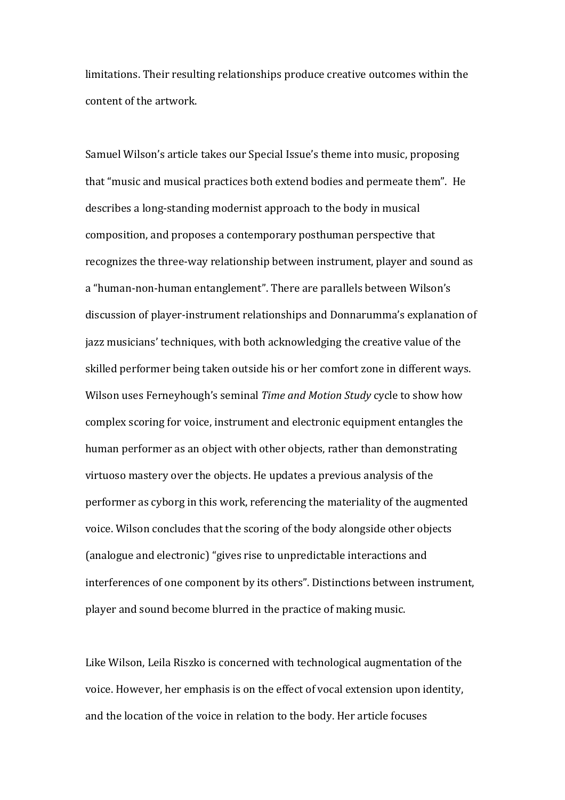limitations. Their resulting relationships produce creative outcomes within the content of the artwork.

Samuel Wilson's article takes our Special Issue's theme into music, proposing that "music and musical practices both extend bodies and permeate them". He describes a long-standing modernist approach to the body in musical composition, and proposes a contemporary posthuman perspective that recognizes the three-way relationship between instrument, player and sound as a "human-non-human entanglement". There are parallels between Wilson's discussion of player-instrument relationships and Donnarumma's explanation of jazz musicians' techniques, with both acknowledging the creative value of the skilled performer being taken outside his or her comfort zone in different ways. Wilson uses Ferneyhough's seminal *Time and Motion Study* cycle to show how complex scoring for voice, instrument and electronic equipment entangles the human performer as an object with other objects, rather than demonstrating virtuoso mastery over the objects. He updates a previous analysis of the performer as cyborg in this work, referencing the materiality of the augmented voice. Wilson concludes that the scoring of the body alongside other objects (analogue and electronic) "gives rise to unpredictable interactions and interferences of one component by its others". Distinctions between instrument, player and sound become blurred in the practice of making music.

Like Wilson, Leila Riszko is concerned with technological augmentation of the voice. However, her emphasis is on the effect of vocal extension upon identity, and the location of the voice in relation to the body. Her article focuses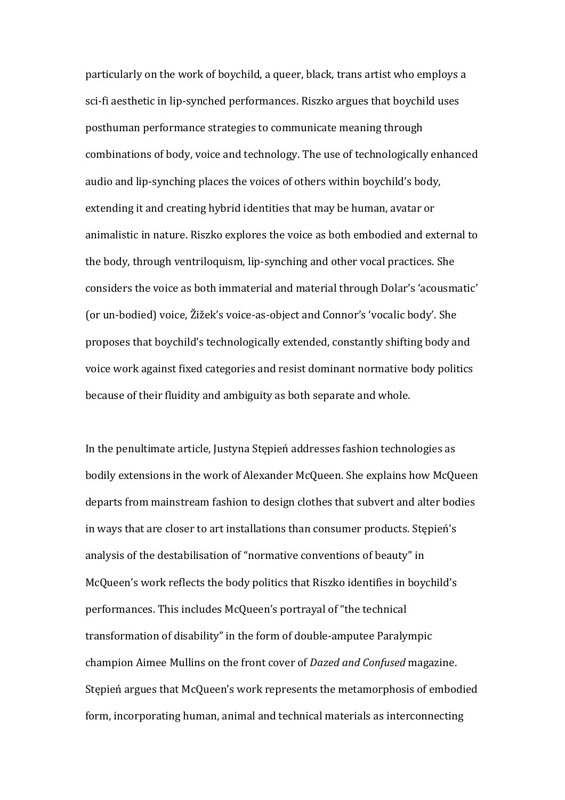particularly on the work of boychild, a queer, black, trans artist who employs a sci-fi aesthetic in lip-synched performances. Riszko argues that boychild uses posthuman performance strategies to communicate meaning through combinations of body, voice and technology. The use of technologically enhanced audio and lip-synching places the voices of others within boychild's body, extending it and creating hybrid identities that may be human, avatar or animalistic in nature. Riszko explores the voice as both embodied and external to the body, through ventriloquism, lip-synching and other vocal practices. She considers the voice as both immaterial and material through Dolar's 'acousmatic' (or un-bodied) voice, Žižek's voice-as-object and Connor's 'vocalic body'. She proposes that boychild's technologically extended, constantly shifting body and voice work against fixed categories and resist dominant normative body politics because of their fluidity and ambiguity as both separate and whole.

In the penultimate article, Justyna Stępień addresses fashion technologies as bodily extensions in the work of Alexander McQueen. She explains how McQueen departs from mainstream fashion to design clothes that subvert and alter bodies in ways that are closer to art installations than consumer products. Stepień's analysis of the destabilisation of "normative conventions of beauty" in McQueen's work reflects the body politics that Riszko identifies in boychild's performances. This includes McQueen's portrayal of "the technical transformation of disability" in the form of double-amputee Paralympic champion Aimee Mullins on the front cover of *Dazed and Confused* magazine. Stępień argues that McQueen's work represents the metamorphosis of embodied form, incorporating human, animal and technical materials as interconnecting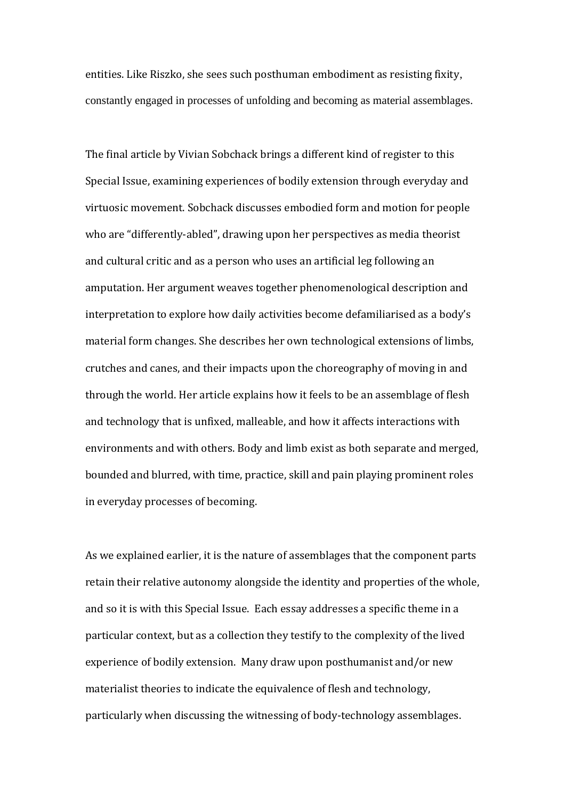entities. Like Riszko, she sees such posthuman embodiment as resisting fixity, constantly engaged in processes of unfolding and becoming as material assemblages.

The final article by Vivian Sobchack brings a different kind of register to this Special Issue, examining experiences of bodily extension through everyday and virtuosic movement. Sobchack discusses embodied form and motion for people who are "differently-abled", drawing upon her perspectives as media theorist and cultural critic and as a person who uses an artificial leg following an amputation. Her argument weaves together phenomenological description and interpretation to explore how daily activities become defamiliarised as a body's material form changes. She describes her own technological extensions of limbs, crutches and canes, and their impacts upon the choreography of moving in and through the world. Her article explains how it feels to be an assemblage of flesh and technology that is unfixed, malleable, and how it affects interactions with environments and with others. Body and limb exist as both separate and merged, bounded and blurred, with time, practice, skill and pain playing prominent roles in everyday processes of becoming.

As we explained earlier, it is the nature of assemblages that the component parts retain their relative autonomy alongside the identity and properties of the whole, and so it is with this Special Issue. Each essay addresses a specific theme in a particular context, but as a collection they testify to the complexity of the lived experience of bodily extension. Many draw upon posthumanist and/or new materialist theories to indicate the equivalence of flesh and technology, particularly when discussing the witnessing of body-technology assemblages.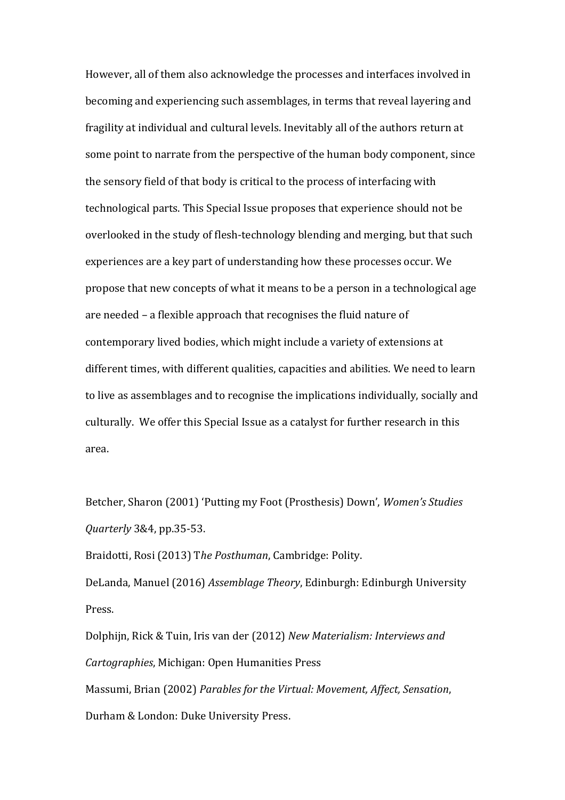However, all of them also acknowledge the processes and interfaces involved in becoming and experiencing such assemblages, in terms that reveal layering and fragility at individual and cultural levels. Inevitably all of the authors return at some point to narrate from the perspective of the human body component, since the sensory field of that body is critical to the process of interfacing with technological parts. This Special Issue proposes that experience should not be overlooked in the study of flesh-technology blending and merging, but that such experiences are a key part of understanding how these processes occur. We propose that new concepts of what it means to be a person in a technological age are needed ‒ a flexible approach that recognises the fluid nature of contemporary lived bodies, which might include a variety of extensions at different times, with different qualities, capacities and abilities. We need to learn to live as assemblages and to recognise the implications individually, socially and culturally. We offer this Special Issue as a catalyst for further research in this area.

Betcher, Sharon (2001) 'Putting my Foot (Prosthesis) Down', *Women's Studies Quarterly* 3&4, pp.35-53.

Braidotti, Rosi (2013) T*he Posthuman*, Cambridge: Polity.

DeLanda, Manuel (2016) *Assemblage Theory*, Edinburgh: Edinburgh University Press.

Dolphijn, Rick & Tuin, Iris van der (2012) *New Materialism: Interviews and Cartographies*, Michigan: Open Humanities Press

Massumi, Brian (2002) *Parables for the Virtual: Movement, Affect, Sensation*, Durham & London: Duke University Press.